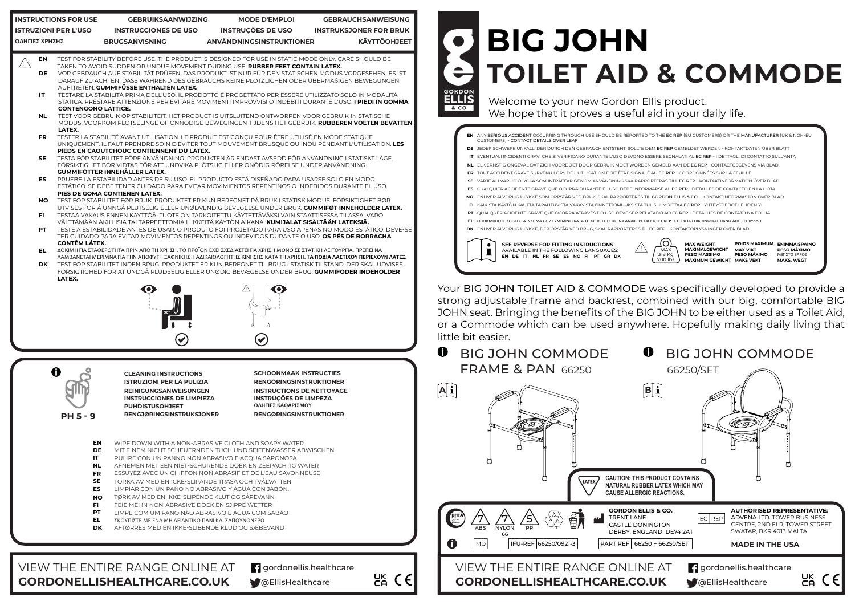# **BIG JOHN TOILET AID & COMMODE GORDON ELLIS**

Welcome to your new Gordon Ellis product. We hope that it proves a useful aid in your daily life.

Your BIG JOHN TOILET AID & COMMODE was specifically developed to provide a strong adjustable frame and backrest, combined with our big, comfortable BIG JOHN seat. Bringing the benefits of the BIG JOHN to be either used as a Toilet Aid, or a Commode which can be used anywhere. Hopefully making daily living that little bit easier.

#### BIG JOHN COMMODE **FRAME & PAN 66250**

**MAX WEIGHT POIDS MAXIMUM ENIMMÄISPAINO MAXIMALGEWICHT MAX VIKT PESO MÁXIMO MAXIMUM GEWICHT MAKS VEKT MAKS. VÆGT**

**PESO MASSIMO PESO MÁXIMO**



ANY SERIOUS ACCIDENT OCCURRING THROUGH USE SHOULD BE REPORTED TO THE EC REP (EU CUSTOMERS) OR THE MANUFACTURER (UK & NON-EU **EN** CUSTOMERS) - CONTACT DETAILS OVER LEAF **DE** JEDER SCHWERE UNFALL, DER DURCH DEN GEBRAUCH ENTSTEHT, SOLLTE DEM EC REP GEMELDET WERDEN - KONTAKTDATEN ÜBER BLATT

 $8<sub>co</sub>$ 

**IT** EVENTUALI INCIDENTI GRAVI CHE SI VERIFICANO DURANTE L'USO DEVONO ESSERE SEGNALATI AL EC REP - I DETTAGLI DI CONTATTO SULL'ANTA **DK** ENHVER ALVORLIG ULYKKE, DER OPSTÅR VED BRUG, SKAL RAPPORTERES TIL EC REP - KONTAKTOPLYSNINGER OVER BLAD

- **NL** ELK ERNSTIG ONGEVAL DAT ZICH VOORDOET DOOR GEBRUIK MOET WORDEN GEMELD AAN DE EC REP CONTACTGEGEVENS VIA BLAD
- **FR** TOUT ACCIDENT GRAVE SURVENU LORS DE L'UTILISATION DOIT ÊTRE SIGNALÉ AU EC REP COORDONNÉES SUR LA FEUILLE
- **SE** VARJE ALLVARLIG OLYCKA SOM INTRÄFFAR GENOM ANVÄNDNING SKA RAPPORTERAS TILL EC REP KONTAKTINFORMATION ÖVER BLAD
- **ES** CUALQUIER ACCIDENTE GRAVE QUE OCURRA DURANTE EL USO DEBE INFORMARSE AL EC REP DETALLES DE CONTACTO EN LA HOJA
- **NO** ENHVER ALVORLIG ULYKKE SOM OPPSTÅR VED BRUK, SKAL RAPPORTERES TIL GORDON ELLIS & CO. KONTAKTINFORMASJON OVER BLAD
- **FI** KAIKISTA KÄYTÖN KAUTTA TAPAHTUVISTA VAKAVISTA ONNETTOMUUKSISTA TULISI ILMOITTAA EC REP YHTEYSTIEDOT LEHDEN YLI
- **PT** QUALQUER ACIDENTE GRAVE QUE OCORRA ATRAVÉS DO USO DEVE SER RELATADO AO EC REP DETALHES DE CONTATO NA FOLHA
- **EL** ΟΠΟΙΟΔΗΠΟΤΕ ΣΟΒΑΡΟ ΑΤΥΧΗΜΑ ΠΟΥ ΣΥΜΒΑΙΝΕΙ ΚΑΤΑ ΤΗ ΧΡΗΣΗ ΠΡΕΠΕΙ ΝΑ ΑΝΑΦΕΡΕΤΑΙ ΣΤΟ **EC REP** ΣΤΟΙΧΕΙΑ ΕΠΙΚΟΙΝΩΝΙΑΣ ΠΑΝΩ ΑΠΟ ΤΟ ΦΥΛΛΟ





- 
- **ES** LIMPIAR CON UN PAÑO NO ABRASIVO Y AGUA CON JABÓN. **SE** TORKA AV MED EN ICKE-SLIPANDE TRASA OCH TVÅLVATTEN
- **NO** TØRK AV MED EN IKKE-SLIPENDE KLUT OG SÅPEVANN
- **FI** FEIE MEI IN NON-ABRASIVE DOEK EN SJIPPE WETTER
- **PT** LIMPE COM UM PANO NÃO ABRASIVO E ÁGUA COM SABÃO
- **EL** ΣΚΟΥΠΙΣΤΕ ΜΕ ΕΝΑ ΜΗ ΛΕΙΑΝΤΙΚΟ ΠΑΝΙ ΚΑΙ ΣΑΠΟΥΝΟΝΕΡΟ
- **DK** AFTØRRES MED EN IKKE-SLIBENDE KLUD OG SÆBEVAND

**GORDONELLISHEALTHCARE.CO.UK W@EllisHealthcare** 

**g** gordonellis.healthcare